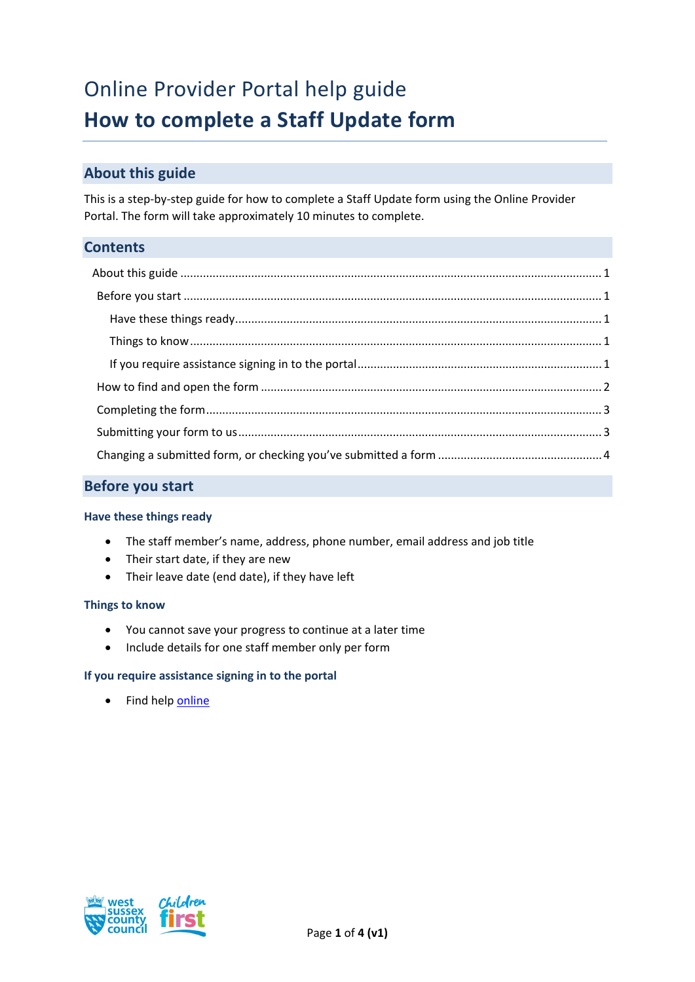# Online Provider Portal help guide **How to complete a Staff Update form**

# <span id="page-0-0"></span>**About this guide**

This is a step-by-step guide for how to complete a Staff Update form using the Online Provider Portal. The form will take approximately 10 minutes to complete.

## <span id="page-0-1"></span>**Contents**

## **Before you start**

#### <span id="page-0-2"></span>**Have these things ready**

- The staff member's name, address, phone number, email address and job title
- Their start date, if they are new
- Their leave date (end date), if they have left

#### <span id="page-0-3"></span>**Things to know**

- You cannot save your progress to continue at a later time
- Include details for one staff member only per form

#### <span id="page-0-4"></span>**If you require assistance signing in to the portal**

• Find hel[p online](https://www.westsussex.gov.uk/ecsportal)

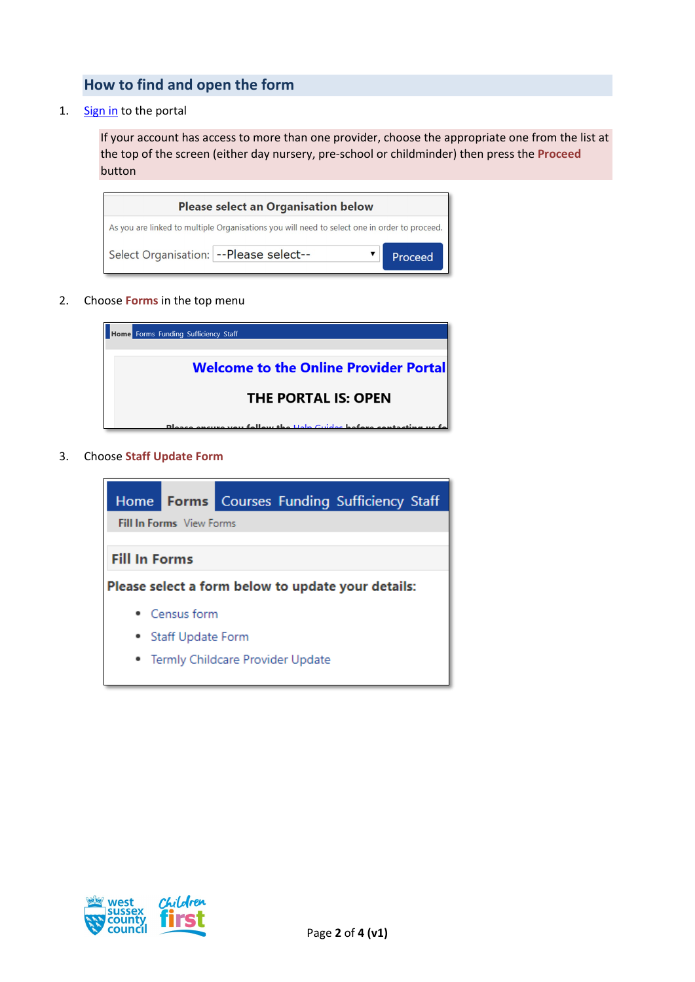# <span id="page-1-0"></span>**How to find and open the form**

1. [Sign in](https://familyinfoservice.westsussex.gov.uk/SynergyWeb/login.aspx) to the portal

If your account has access to more than one provider, choose the appropriate one from the list at the top of the screen (either day nursery, pre-school or childminder) then press the **Proceed** button

| <b>Please select an Organisation below</b>                                                   |         |  |  |  |
|----------------------------------------------------------------------------------------------|---------|--|--|--|
| As you are linked to multiple Organisations you will need to select one in order to proceed. |         |  |  |  |
| Select Organisation: -- Please select--                                                      | Proceed |  |  |  |

2. Choose **Forms** in the top menu

| Home Forms Funding Sufficiency Staff                                     |  |  |  |
|--------------------------------------------------------------------------|--|--|--|
|                                                                          |  |  |  |
| <b>Welcome to the Online Provider Portal</b>                             |  |  |  |
| <b>THE PORTAL IS: OPEN</b>                                               |  |  |  |
| <b>Please ensure you follow the Help Guides before contacting us for</b> |  |  |  |

3. Choose **Staff Update Form**



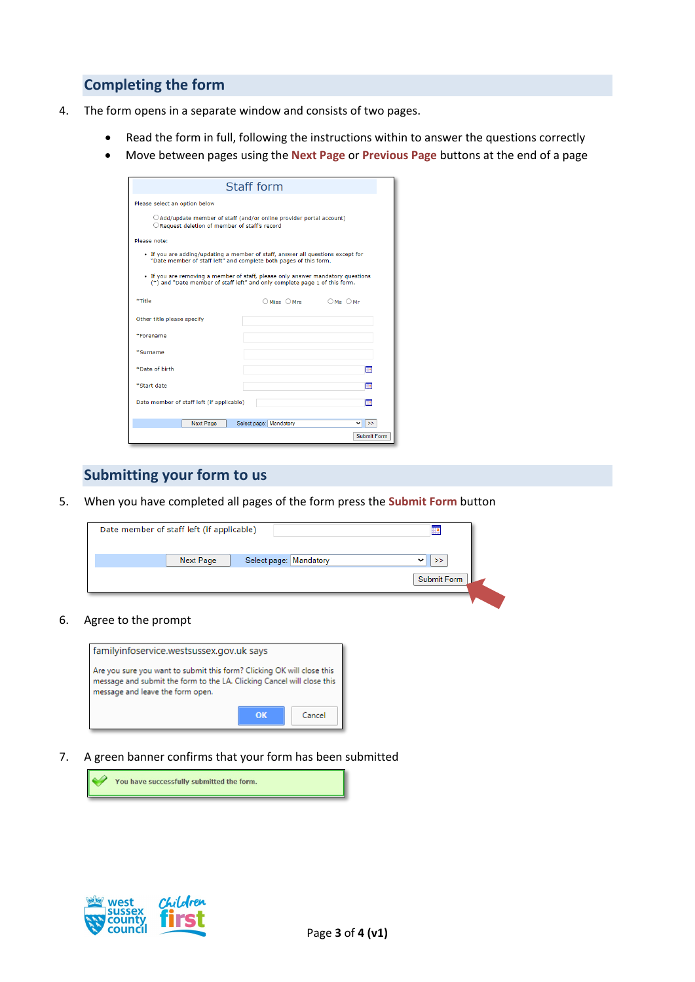## <span id="page-2-0"></span>**Completing the form**

- 4. The form opens in a separate window and consists of two pages.
	- Read the form in full, following the instructions within to answer the questions correctly
	- Move between pages using the **Next Page** or **Previous Page** buttons at the end of a page

| Staff form                                                                                                                                                    |                        |             |  |  |  |
|---------------------------------------------------------------------------------------------------------------------------------------------------------------|------------------------|-------------|--|--|--|
| Please select an option below                                                                                                                                 |                        |             |  |  |  |
| $\bigcirc$ Add/update member of staff (and/or online provider portal account)<br>O Request deletion of member of staff's record                               |                        |             |  |  |  |
| Please note:                                                                                                                                                  |                        |             |  |  |  |
| . If you are adding/updating a member of staff, answer all questions except for<br>"Date member of staff left" and complete both pages of this form.          |                        |             |  |  |  |
| . If you are removing a member of staff, please only answer mandatory questions<br>(*) and "Date member of staff left" and only complete page 1 of this form. |                        |             |  |  |  |
| *Title                                                                                                                                                        | OMiss OMrs OMs OMr     |             |  |  |  |
| Other title please specify                                                                                                                                    |                        |             |  |  |  |
| *Forename                                                                                                                                                     |                        |             |  |  |  |
| *Surname                                                                                                                                                      |                        |             |  |  |  |
| *Date of birth                                                                                                                                                |                        | 90          |  |  |  |
| *Start date                                                                                                                                                   |                        | HE          |  |  |  |
| Date member of staff left (if applicable)<br><b>High</b>                                                                                                      |                        |             |  |  |  |
| <b>Next Page</b>                                                                                                                                              | Select page: Mandatory | ◡<br>$\gg$  |  |  |  |
|                                                                                                                                                               |                        | Submit Form |  |  |  |

### <span id="page-2-1"></span>**Submitting your form to us**

5. When you have completed all pages of the form press the **Submit Form** button

| Date member of staff left (if applicable) |                  |                        |                                         |
|-------------------------------------------|------------------|------------------------|-----------------------------------------|
|                                           | <b>Next Page</b> | Select page: Mandatory | ><br>$\checkmark$<br><b>Submit Form</b> |
|                                           |                  |                        |                                         |

#### 6. Agree to the prompt



7. A green banner confirms that your form has been submitted